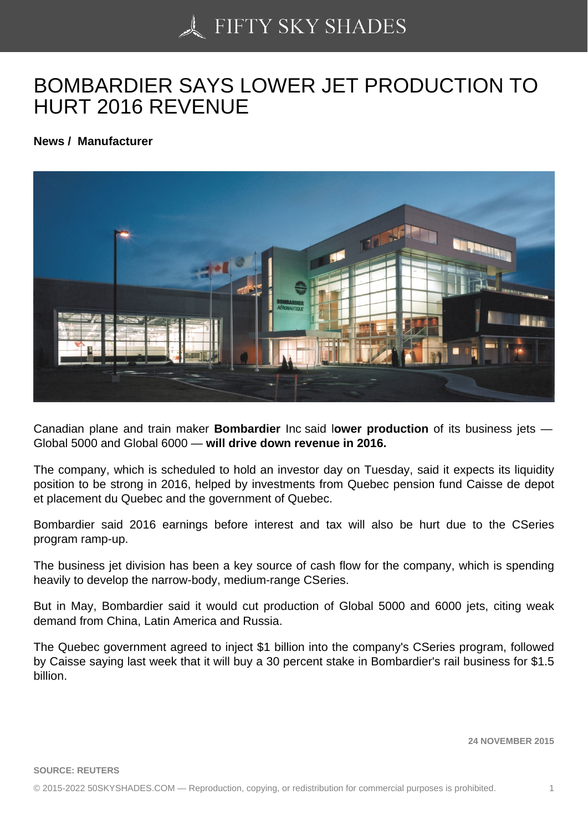## [BOMBARDIER SAYS L](https://50skyshades.com)OWER JET PRODUCTION TO HURT 2016 REVENUE

News / Manufacturer

Canadian plane and train maker Bombardier Inc said lower production of its business jets — Global 5000 and Global 6000 — will drive down revenue in 2016.

The company, which is scheduled to hold an investor day on Tuesday, said it expects its liquidity position to be strong in 2016, helped by investments from Quebec pension fund Caisse de depot et placement du Quebec and the government of Quebec.

Bombardier said 2016 earnings before interest and tax will also be hurt due to the CSeries program ramp-up.

The business jet division has been a key source of cash flow for the company, which is spending heavily to develop the narrow-body, medium-range CSeries.

But in May, Bombardier said it would cut production of Global 5000 and 6000 jets, citing weak demand from China, Latin America and Russia.

The Quebec government agreed to inject \$1 billion into the company's CSeries program, followed by Caisse saying last week that it will buy a 30 percent stake in Bombardier's rail business for \$1.5 billion.

24 NOVEMBER 2015

SOURCE: REUTERS